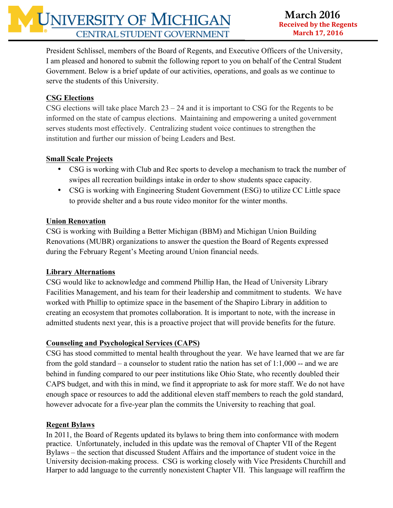President Schlissel, members of the Board of Regents, and Executive Officers of the University, I am pleased and honored to submit the following report to you on behalf of the Central Student Government. Below is a brief update of our activities, operations, and goals as we continue to serve the students of this University.

# **CSG Elections**

CSG elections will take place March  $23 - 24$  and it is important to CSG for the Regents to be informed on the state of campus elections. Maintaining and empowering a united government serves students most effectively. Centralizing student voice continues to strengthen the institution and further our mission of being Leaders and Best.

# **Small Scale Projects**

- CSG is working with Club and Rec sports to develop a mechanism to track the number of swipes all recreation buildings intake in order to show students space capacity.
- CSG is working with Engineering Student Government (ESG) to utilize CC Little space to provide shelter and a bus route video monitor for the winter months.

# **Union Renovation**

CSG is working with Building a Better Michigan (BBM) and Michigan Union Building Renovations (MUBR) organizations to answer the question the Board of Regents expressed during the February Regent's Meeting around Union financial needs.

# **Library Alternations**

CSG would like to acknowledge and commend Phillip Han, the Head of University Library Facilities Management, and his team for their leadership and commitment to students. We have worked with Phillip to optimize space in the basement of the Shapiro Library in addition to creating an ecosystem that promotes collaboration. It is important to note, with the increase in admitted students next year, this is a proactive project that will provide benefits for the future.

# **Counseling and Psychological Services (CAPS)**

CSG has stood committed to mental health throughout the year. We have learned that we are far from the gold standard – a counselor to student ratio the nation has set of 1:1,000 -- and we are behind in funding compared to our peer institutions like Ohio State, who recently doubled their CAPS budget, and with this in mind, we find it appropriate to ask for more staff. We do not have enough space or resources to add the additional eleven staff members to reach the gold standard, however advocate for a five-year plan the commits the University to reaching that goal.

#### **Regent Bylaws**

In 2011, the Board of Regents updated its bylaws to bring them into conformance with modern practice. Unfortunately, included in this update was the removal of Chapter VII of the Regent Bylaws – the section that discussed Student Affairs and the importance of student voice in the University decision-making process. CSG is working closely with Vice Presidents Churchill and Harper to add language to the currently nonexistent Chapter VII. This language will reaffirm the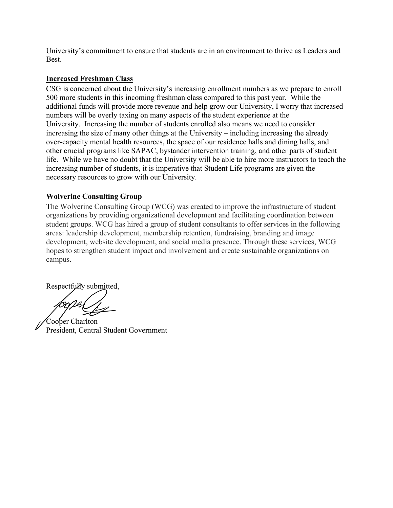University's commitment to ensure that students are in an environment to thrive as Leaders and Best.

#### **Increased Freshman Class**

CSG is concerned about the University's increasing enrollment numbers as we prepare to enroll 500 more students in this incoming freshman class compared to this past year. While the additional funds will provide more revenue and help grow our University, I worry that increased numbers will be overly taxing on many aspects of the student experience at the University. Increasing the number of students enrolled also means we need to consider increasing the size of many other things at the University – including increasing the already over-capacity mental health resources, the space of our residence halls and dining halls, and other crucial programs like SAPAC, bystander intervention training, and other parts of student life. While we have no doubt that the University will be able to hire more instructors to teach the increasing number of students, it is imperative that Student Life programs are given the necessary resources to grow with our University.

#### **Wolverine Consulting Group**

The Wolverine Consulting Group (WCG) was created to improve the infrastructure of student organizations by providing organizational development and facilitating coordination between student groups. WCG has hired a group of student consultants to offer services in the following areas: leadership development, membership retention, fundraising, branding and image development, website development, and social media presence. Through these services, WCG hopes to strengthen student impact and involvement and create sustainable organizations on campus.

Respectfully submitted,

Cooper Charlton President, Central Student Government